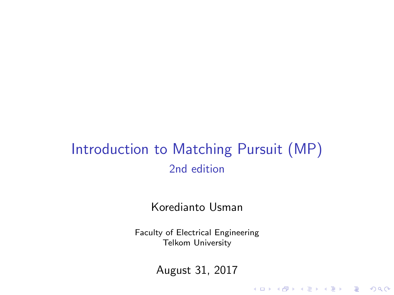#### Introduction to Matching Pursuit (MP) 2nd edition

Koredianto Usman

Faculty of Electrical Engineering Telkom University

August 31, 2017

K ロ ▶ K @ ▶ K 할 > K 할 > 1 할 > 1 이익어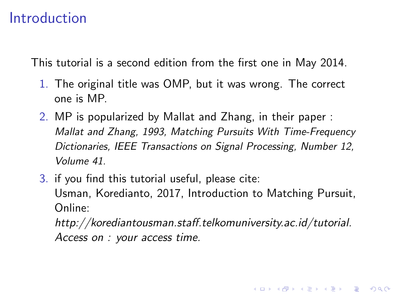#### Introduction

This tutorial is a second edition from the first one in May 2014.

- 1. The original title was OMP, but it was wrong. The correct one is MP.
- 2. MP is popularized by Mallat and Zhang, in their paper : Mallat and Zhang, 1993, Matching Pursuits With Time-Frequency Dictionaries, IEEE Transactions on Signal Processing, Number 12, Volume 41.
- 3. if you find this tutorial useful, please cite: Usman, Koredianto, 2017, Introduction to Matching Pursuit, Online:

http://korediantousman.staff.telkomuniversity.ac.id/tutorial. Access on : your access time.

**KORKAR KERKER E VOOR**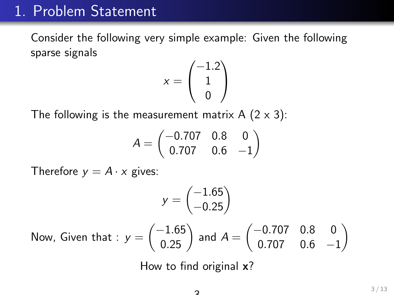#### 1. Problem Statement

Consider the following very simple example: Given the following sparse signals

$$
x = \begin{pmatrix} -1.2 \\ 1 \\ 0 \end{pmatrix}
$$

The following is the measurement matrix A  $(2 \times 3)$ :

$$
A=\begin{pmatrix} -0.707 & 0.8 & 0 \\ 0.707 & 0.6 & -1 \end{pmatrix}
$$

Therefore  $y = A \cdot x$  gives:

$$
y = \begin{pmatrix} -1.65 \\ -0.25 \end{pmatrix}
$$
  
Now, Given that :  $y = \begin{pmatrix} -1.65 \\ 0.25 \end{pmatrix}$  and  $A = \begin{pmatrix} -0.707 & 0.8 & 0 \\ 0.707 & 0.6 & -1 \end{pmatrix}$ 

How to find original **x**?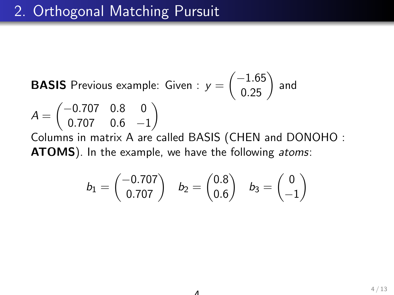**BASIS** Previous example: Given :  $y =$  $\begin{pmatrix} -1.65 \\ 0.25 \end{pmatrix}$  and  $A =$  $(-0.707 \ 0.8 \ 0)$ 0.707 0.6 −1  $\setminus$ Columns in matrix A are called BASIS (CHEN and DONOHO : **ATOMS**). In the example, we have the following atoms:

$$
b_1=\begin{pmatrix}-0.707\\0.707\end{pmatrix}\quad b_2=\begin{pmatrix}0.8\\0.6\end{pmatrix}\quad b_3=\begin{pmatrix}0\\-1\end{pmatrix}
$$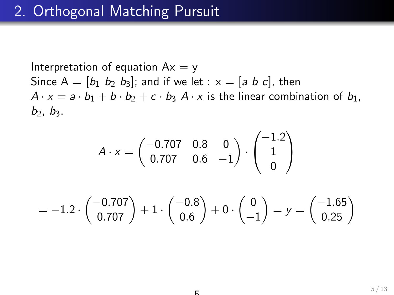Interpretation of equation  $Ax = y$ Since  $A = [b_1 \ b_2 \ b_3]$ ; and if we let :  $x = [a \ b \ c]$ , then  $A \cdot x = a \cdot b_1 + b \cdot b_2 + c \cdot b_3$   $A \cdot x$  is the linear combination of  $b_1$ ,  $b_2$ ,  $b_3$ .

$$
A \cdot x = \begin{pmatrix} -0.707 & 0.8 & 0 \\ 0.707 & 0.6 & -1 \end{pmatrix} \cdot \begin{pmatrix} -1.2 \\ 1 \\ 0 \end{pmatrix}
$$

$$
= -1.2 \cdot \begin{pmatrix} -0.707 \\ 0.707 \end{pmatrix} + 1 \cdot \begin{pmatrix} -0.8 \\ 0.6 \end{pmatrix} + 0 \cdot \begin{pmatrix} 0 \\ -1 \end{pmatrix} = y = \begin{pmatrix} -1.65 \\ 0.25 \end{pmatrix}
$$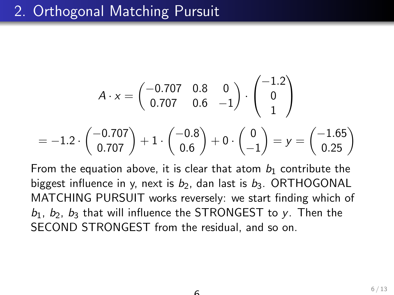$$
A \cdot x = \begin{pmatrix} -0.707 & 0.8 & 0 \\ 0.707 & 0.6 & -1 \end{pmatrix} \cdot \begin{pmatrix} -1.2 \\ 0 \\ 1 \end{pmatrix}
$$
  
= -1.2 \cdot \begin{pmatrix} -0.707 \\ 0.707 \end{pmatrix} + 1 \cdot \begin{pmatrix} -0.8 \\ 0.6 \end{pmatrix} + 0 \cdot \begin{pmatrix} 0 \\ -1 \end{pmatrix} = y = \begin{pmatrix} -1.65 \\ 0.25 \end{pmatrix}

From the equation above, it is clear that atom  $b_1$  contribute the biggest influence in y, next is  $b_2$ , dan last is  $b_3$ . ORTHOGONAL MATCHING PURSUIT works reversely: we start finding which of  $b_1$ ,  $b_2$ ,  $b_3$  that will influence the STRONGEST to y. Then the SECOND STRONGEST from the residual, and so on.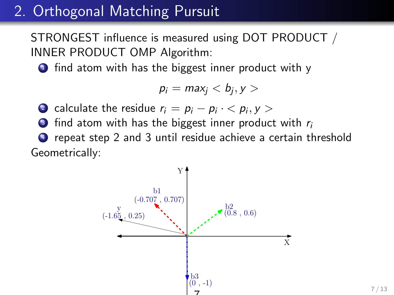STRONGEST influence is measured using DOT PRODUCT / INNER PRODUCT OMP Algorithm:

**1** find atom with has the biggest inner product with y

$$
p_i = \max_j < b_j, y > \text{}
$$

- 2 calculate the residue  $r_i = p_i p_i \cdot \langle p_i, y \rangle$
- $\bullet$  find atom with has the biggest inner product with  $r_i$

<sup>4</sup> repeat step 2 and 3 until residue achieve a certain threshold Geometrically:

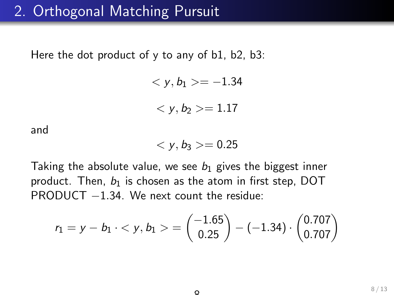Here the dot product of y to any of b1, b2, b3:

$$
\langle y, b_1 \rangle = -1.34
$$
  

$$
\langle y, b_2 \rangle = 1.17
$$

and

$$
\langle y,b_3>=0.25
$$

Taking the absolute value, we see  $b_1$  gives the biggest inner product. Then,  $b_1$  is chosen as the atom in first step, DOT PRODUCT −1.34. We next count the residue:

$$
r_1 = y - b_1 \cdot \langle y, b_1 \rangle = \begin{pmatrix} -1.65 \\ 0.25 \end{pmatrix} - (-1.34) \cdot \begin{pmatrix} 0.707 \\ 0.707 \end{pmatrix}
$$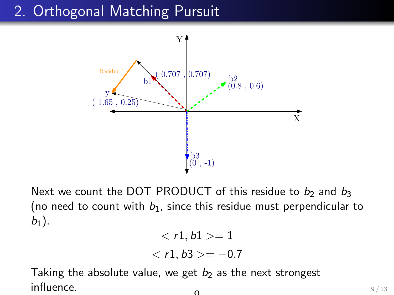

Next we count the DOT PRODUCT of this residue to  $b_2$  and  $b_3$ (no need to count with  $b_1$ , since this residue must perpendicular to  $b_1$ ).

$$
\langle r1, b1 \rangle = 1
$$
  

$$
\langle r1, b3 \rangle = -0.7
$$

Taking the absolute value, we get  $b_2$  as the next strongest influence.  $\Omega$